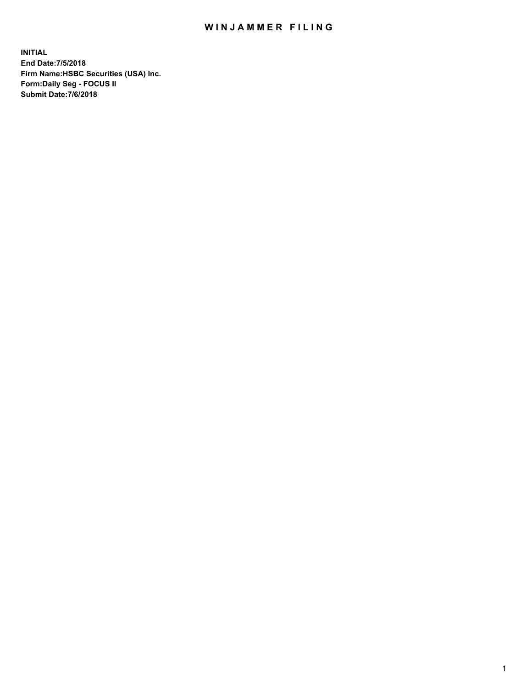## WIN JAMMER FILING

**INITIAL End Date:7/5/2018 Firm Name:HSBC Securities (USA) Inc. Form:Daily Seg - FOCUS II Submit Date:7/6/2018**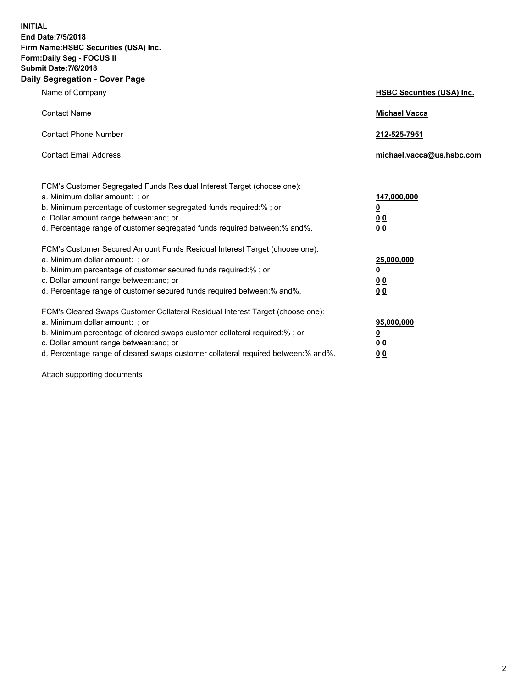**INITIAL End Date:7/5/2018 Firm Name:HSBC Securities (USA) Inc. Form:Daily Seg - FOCUS II Submit Date:7/6/2018 Daily Segregation - Cover Page**

| Name of Company                                                                                                                                                                                                                                                                                                                | <b>HSBC Securities (USA) Inc.</b>                                          |
|--------------------------------------------------------------------------------------------------------------------------------------------------------------------------------------------------------------------------------------------------------------------------------------------------------------------------------|----------------------------------------------------------------------------|
| <b>Contact Name</b>                                                                                                                                                                                                                                                                                                            | <b>Michael Vacca</b>                                                       |
| <b>Contact Phone Number</b>                                                                                                                                                                                                                                                                                                    | 212-525-7951                                                               |
| <b>Contact Email Address</b>                                                                                                                                                                                                                                                                                                   | michael.vacca@us.hsbc.com                                                  |
| FCM's Customer Segregated Funds Residual Interest Target (choose one):<br>a. Minimum dollar amount: ; or<br>b. Minimum percentage of customer segregated funds required:% ; or<br>c. Dollar amount range between: and; or<br>d. Percentage range of customer segregated funds required between:% and%.                         | 147,000,000<br>$\overline{\mathbf{0}}$<br>0 <sub>0</sub><br>0 <sub>0</sub> |
| FCM's Customer Secured Amount Funds Residual Interest Target (choose one):<br>a. Minimum dollar amount: ; or<br>b. Minimum percentage of customer secured funds required:%; or<br>c. Dollar amount range between: and; or<br>d. Percentage range of customer secured funds required between:% and%.                            | 25,000,000<br><u>0</u><br>0 <sub>0</sub><br>0 <sub>0</sub>                 |
| FCM's Cleared Swaps Customer Collateral Residual Interest Target (choose one):<br>a. Minimum dollar amount: ; or<br>b. Minimum percentage of cleared swaps customer collateral required:% ; or<br>c. Dollar amount range between: and; or<br>d. Percentage range of cleared swaps customer collateral required between:% and%. | 95,000,000<br><u>0</u><br><u>00</u><br>00                                  |

Attach supporting documents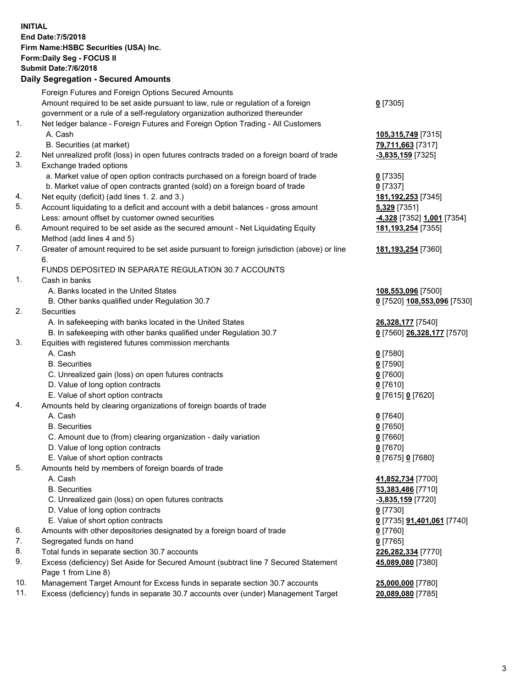**INITIAL End Date:7/5/2018 Firm Name:HSBC Securities (USA) Inc. Form:Daily Seg - FOCUS II Submit Date:7/6/2018 Daily Segregation - Secured Amounts** Foreign Futures and Foreign Options Secured Amounts Amount required to be set aside pursuant to law, rule or regulation of a foreign government or a rule of a self-regulatory organization authorized thereunder **0** [7305] 1. Net ledger balance - Foreign Futures and Foreign Option Trading - All Customers A. Cash **105,315,749** [7315] B. Securities (at market) **79,711,663** [7317] 2. Net unrealized profit (loss) in open futures contracts traded on a foreign board of trade **-3,835,159** [7325] 3. Exchange traded options a. Market value of open option contracts purchased on a foreign board of trade **0** [7335] b. Market value of open contracts granted (sold) on a foreign board of trade **0** [7337] 4. Net equity (deficit) (add lines 1. 2. and 3.) **181,192,253** [7345] 5. Account liquidating to a deficit and account with a debit balances - gross amount **5,329** [7351] Less: amount offset by customer owned securities **-4,328** [7352] **1,001** [7354] 6. Amount required to be set aside as the secured amount - Net Liquidating Equity Method (add lines 4 and 5) **181,193,254** [7355] 7. Greater of amount required to be set aside pursuant to foreign jurisdiction (above) or line 6. **181,193,254** [7360] FUNDS DEPOSITED IN SEPARATE REGULATION 30.7 ACCOUNTS 1. Cash in banks A. Banks located in the United States **108,553,096** [7500] B. Other banks qualified under Regulation 30.7 **0** [7520] **108,553,096** [7530] 2. Securities A. In safekeeping with banks located in the United States **26,328,177** [7540] B. In safekeeping with other banks qualified under Regulation 30.7 **0** [7560] **26,328,177** [7570] 3. Equities with registered futures commission merchants A. Cash **0** [7580] B. Securities **0** [7590] C. Unrealized gain (loss) on open futures contracts **0** [7600] D. Value of long option contracts **0** [7610] E. Value of short option contracts **0** [7615] **0** [7620] 4. Amounts held by clearing organizations of foreign boards of trade A. Cash **0** [7640] B. Securities **0** [7650] C. Amount due to (from) clearing organization - daily variation **0** [7660] D. Value of long option contracts **0** [7670] E. Value of short option contracts **0** [7675] **0** [7680] 5. Amounts held by members of foreign boards of trade A. Cash **41,852,734** [7700] B. Securities **53,383,486** [7710] C. Unrealized gain (loss) on open futures contracts **-3,835,159** [7720] D. Value of long option contracts **0** [7730] E. Value of short option contracts **0** [7735] **91,401,061** [7740] 6. Amounts with other depositories designated by a foreign board of trade **0** [7760] 7. Segregated funds on hand **0** [7765] 8. Total funds in separate section 30.7 accounts **226,282,334** [7770] 9. Excess (deficiency) Set Aside for Secured Amount (subtract line 7 Secured Statement Page 1 from Line 8) **45,089,080** [7380] 10. Management Target Amount for Excess funds in separate section 30.7 accounts **25,000,000** [7780] 11. Excess (deficiency) funds in separate 30.7 accounts over (under) Management Target **20,089,080** [7785]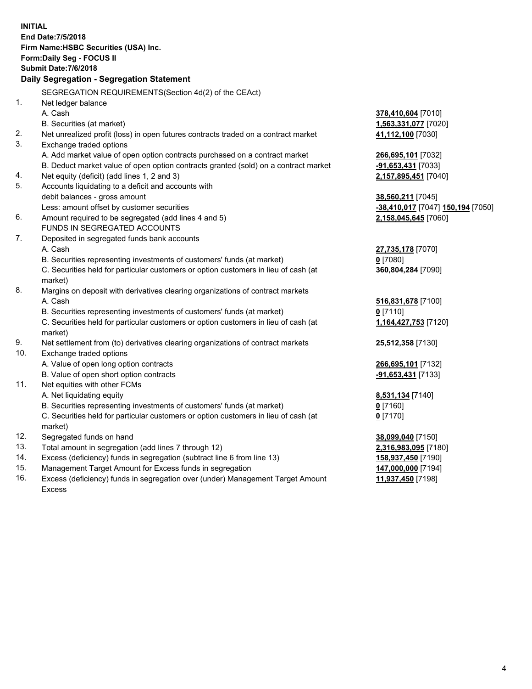|     | <b>INITIAL</b><br>End Date: 7/5/2018<br>Firm Name: HSBC Securities (USA) Inc.<br>Form: Daily Seg - FOCUS II<br><b>Submit Date: 7/6/2018</b><br>Daily Segregation - Segregation Statement |                                   |
|-----|------------------------------------------------------------------------------------------------------------------------------------------------------------------------------------------|-----------------------------------|
|     | SEGREGATION REQUIREMENTS(Section 4d(2) of the CEAct)                                                                                                                                     |                                   |
| 1.  | Net ledger balance                                                                                                                                                                       |                                   |
|     | A. Cash                                                                                                                                                                                  | 378,410,604 [7010]                |
|     | B. Securities (at market)                                                                                                                                                                | 1,563,331,077 [7020]              |
| 2.  | Net unrealized profit (loss) in open futures contracts traded on a contract market                                                                                                       | 41,112,100 [7030]                 |
| 3.  | Exchange traded options                                                                                                                                                                  |                                   |
|     | A. Add market value of open option contracts purchased on a contract market                                                                                                              | 266,695,101 [7032]                |
|     | B. Deduct market value of open option contracts granted (sold) on a contract market                                                                                                      | -91,653,431 [7033]                |
| 4.  | Net equity (deficit) (add lines 1, 2 and 3)                                                                                                                                              | 2,157,895,451 [7040]              |
| 5.  | Accounts liquidating to a deficit and accounts with                                                                                                                                      |                                   |
|     | debit balances - gross amount                                                                                                                                                            | 38,560,211 [7045]                 |
|     | Less: amount offset by customer securities                                                                                                                                               | -38,410,017 [7047] 150,194 [7050] |
| 6.  | Amount required to be segregated (add lines 4 and 5)                                                                                                                                     | 2,158,045,645 [7060]              |
|     | FUNDS IN SEGREGATED ACCOUNTS                                                                                                                                                             |                                   |
| 7.  | Deposited in segregated funds bank accounts                                                                                                                                              |                                   |
|     | A. Cash                                                                                                                                                                                  | 27,735,178 [7070]                 |
|     | B. Securities representing investments of customers' funds (at market)                                                                                                                   | $0$ [7080]                        |
|     | C. Securities held for particular customers or option customers in lieu of cash (at                                                                                                      | 360,804,284 [7090]                |
|     | market)                                                                                                                                                                                  |                                   |
| 8.  | Margins on deposit with derivatives clearing organizations of contract markets                                                                                                           |                                   |
|     | A. Cash                                                                                                                                                                                  | 516,831,678 [7100]                |
|     | B. Securities representing investments of customers' funds (at market)                                                                                                                   | $0$ [7110]                        |
|     | C. Securities held for particular customers or option customers in lieu of cash (at<br>market)                                                                                           | 1,164,427,753 [7120]              |
| 9.  | Net settlement from (to) derivatives clearing organizations of contract markets                                                                                                          | 25,512,358 [7130]                 |
| 10. | Exchange traded options                                                                                                                                                                  |                                   |
|     | A. Value of open long option contracts                                                                                                                                                   | 266,695,101 [7132]                |
|     | B. Value of open short option contracts                                                                                                                                                  | -91,653,431 [7133]                |
| 11. | Net equities with other FCMs                                                                                                                                                             |                                   |
|     | A. Net liquidating equity                                                                                                                                                                | 8,531,134 [7140]                  |
|     | B. Securities representing investments of customers' funds (at market)                                                                                                                   | 0 [7160]                          |
|     | C. Securities held for particular customers or option customers in lieu of cash (at                                                                                                      | $0$ [7170]                        |
| 12. | market)<br>Segregated funds on hand                                                                                                                                                      | 38,099,040 [7150]                 |
| 13. | Total amount in segregation (add lines 7 through 12)                                                                                                                                     | 2,316,983,095 [7180]              |
| 14. | Excess (deficiency) funds in segregation (subtract line 6 from line 13)                                                                                                                  | 158,937,450 [7190]                |
| 15. | Management Target Amount for Excess funds in segregation                                                                                                                                 | 147,000,000 [7194]                |
| 16. | Excess (deficiency) funds in segregation over (under) Management Target Amount                                                                                                           | 11,937,450 [7198]                 |
|     |                                                                                                                                                                                          |                                   |

16. Excess (deficiency) funds in segregation over (under) Management Target Amount Excess